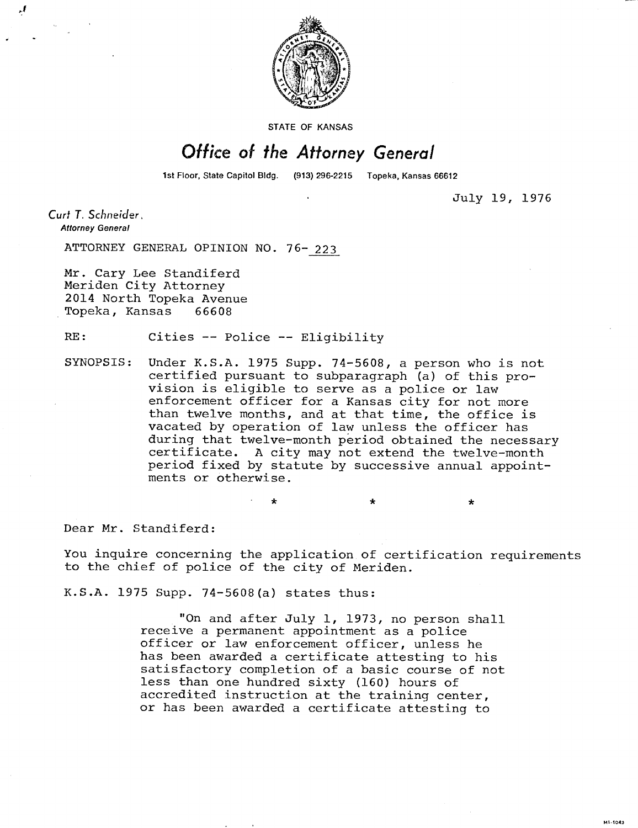

STATE OF KANSAS

## Office of the Attorney General

1st Floor, State Capitol Bldg. (913) 296-2215 Topeka, Kansas 66612

July 19, 1976

\*

M1-1043

Curt T. Schneider, **Attorney General** 

ATTORNEY GENERAL OPINION NO. 76- 223

Mr. Cary Lee Standiferd Meriden City Attorney 2014 North Topeka Avenue Topeka, Kansas 66608

RE: Cities -- Police -- Eligibility

SYNOPSIS: Under K.S.A. 1975 Supp. 74-5608, a person who is not certified pursuant to subparagraph (a) of this provision is eligible to serve as a police or law enforcement officer for a Kansas city for not more than twelve months, and at that time, the office is vacated by operation of law unless the officer has during that twelve-month period obtained the necessary certificate. A city may not extend the twelve-month period fixed by statute by successive annual appointments or otherwise.

Dear Mr. Standiferd:

You inquire concerning the application of certification requirements to the chief of police of the city of Meriden.

K.S.A. 1975 Supp. 74-5608(a) states thus:

"On and after July 1, 1973, no person shall receive a permanent appointment as a police officer or law enforcement officer, unless he has been awarded a certificate attesting to his satisfactory completion of a basic course of not less than one hundred sixty (160) hours of accredited instruction at the training center, or has been awarded a certificate attesting to